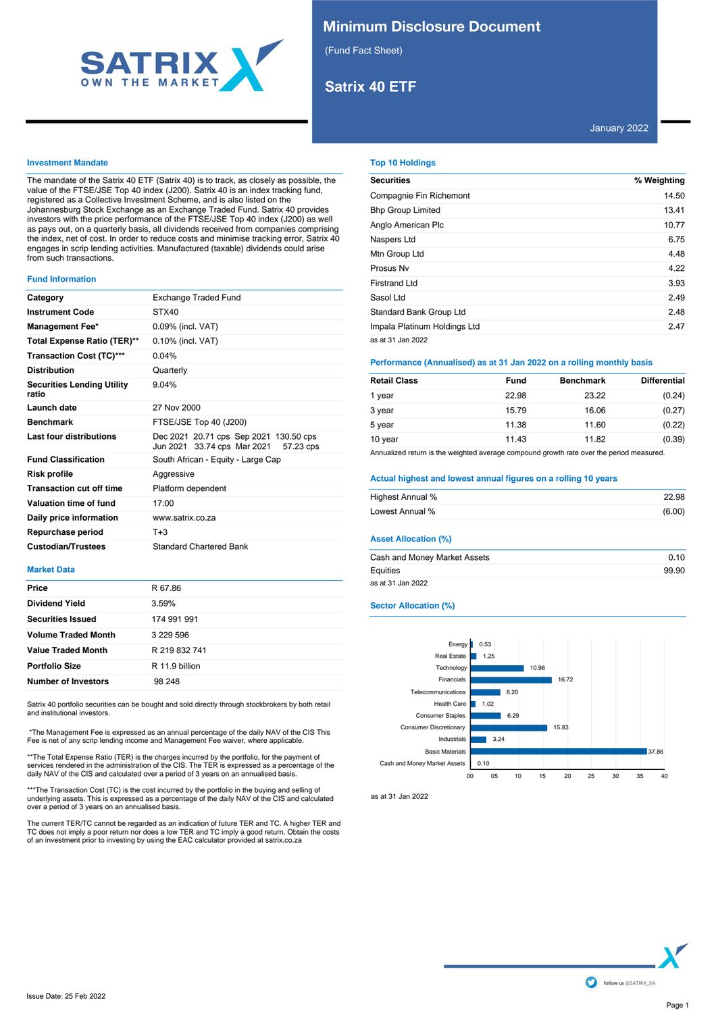

## **Minimum Disclosure Document**

(Fund Fact Sheet)

# **Satrix 40 ETF**

## January 2022

## **Investment Mandate**

The mandate of the Satrix 40 ETF (Satrix 40) is to track, as closely as possible, the value of the FTSE/JSE Top 40 index (J200). Satrix 40 is an index tracking fund, registered as a Collective Investment Scheme, and is also listed on the Johannesburg Stock Exchange as an Exchange Traded Fund. Satrix 40 provides investors with the price performance of the FTSE/JSE Top 40 index (J200) as well as pays out, on a quarterly basis, all dividends received from companies comprising the index, net of cost. In order to reduce costs and minimise tracking error, Satrix 40 engages in scrip lending activities. Manufactured (taxable) dividends could arise from such transactions.

#### **Fund Information**

| Category                                   | Exchange Traded Fund                                                               |
|--------------------------------------------|------------------------------------------------------------------------------------|
| <b>Instrument Code</b>                     | STX40                                                                              |
| <b>Management Fee*</b>                     | 0.09% (incl. VAT)                                                                  |
| Total Expense Ratio (TER)**                | 0.10% (incl. VAT)                                                                  |
| <b>Transaction Cost (TC)***</b>            | 0.04%                                                                              |
| <b>Distribution</b>                        | Quarterly                                                                          |
| <b>Securities Lending Utility</b><br>ratio | 9.04%                                                                              |
| Launch date                                | 27 Nov 2000                                                                        |
| <b>Benchmark</b>                           | FTSE/JSE Top 40 (J200)                                                             |
| Last four distributions                    | Dec 2021 20.71 cps Sep 2021 130.50 cps<br>Jun 2021 33.74 cps Mar 2021<br>57.23 cps |
| <b>Fund Classification</b>                 | South African - Equity - Large Cap                                                 |
| Risk profile                               | Aggressive                                                                         |
| <b>Transaction cut off time</b>            | Platform dependent                                                                 |
| Valuation time of fund                     | 17:00                                                                              |
| Daily price information                    | www.satrix.co.za                                                                   |
| Repurchase period                          | $T + 3$                                                                            |
| <b>Custodian/Trustees</b>                  | <b>Standard Chartered Bank</b>                                                     |

### **Market Data**

| <b>Price</b><br>R 67.86<br><b>Dividend Yield</b><br>3.59%<br><b>Securities Issued</b><br>174 991 991<br><b>Volume Traded Month</b><br>3 229 596<br><b>Value Traded Month</b><br>R 219 832 741<br><b>Portfolio Size</b><br>R 11.9 billion |  |
|------------------------------------------------------------------------------------------------------------------------------------------------------------------------------------------------------------------------------------------|--|
|                                                                                                                                                                                                                                          |  |
|                                                                                                                                                                                                                                          |  |
|                                                                                                                                                                                                                                          |  |
|                                                                                                                                                                                                                                          |  |
|                                                                                                                                                                                                                                          |  |
|                                                                                                                                                                                                                                          |  |
| <b>Number of Investors</b><br>98 248                                                                                                                                                                                                     |  |

Satrix 40 portfolio securities can be bought and sold directly through stockbrokers by both retail and institutional investors.

 \*The Management Fee is expressed as an annual percentage of the daily NAV of the CIS This Fee is net of any scrip lending income and Management Fee waiver, where applicable.

\*\*The Total Expense Ratio (TER) is the charges incurred by the portfolio, for the payment of<br>services rendered in the administration of the CIS. The TER is expressed as a percentage of the<br>daily NAV of the CIS and calculat

\*\*\*The Transaction Cost (TC) is the cost incurred by the portfolio in the buying and selling of<br>underlying assets. This is expressed as a percentage of the daily NAV of the CIS and calculated<br>over a period of 3 years on an

The current TER/TC cannot be regarded as an indication of future TER and TC. A higher TER and<br>TC does not imply a poor return nor does a low TER and TC imply a good return. Obtain the costs<br>of an investment prior to invest

## **Top 10 Holdings**

| <b>Securities</b>            | % Weighting |
|------------------------------|-------------|
| Compagnie Fin Richemont      | 14.50       |
| <b>Bhp Group Limited</b>     | 13.41       |
| Anglo American Plc           | 10.77       |
| Naspers Ltd                  | 6.75        |
| Mtn Group Ltd                | 4.48        |
| Prosus Nv                    | 4.22        |
| Firstrand Ltd                | 3.93        |
| Sasol Ltd                    | 2.49        |
| Standard Bank Group Ltd      | 2.48        |
| Impala Platinum Holdings Ltd | 2.47        |
| as at 31 Jan 2022            |             |

## **Performance (Annualised) as at 31 Jan 2022 on a rolling monthly basis**

| <b>Retail Class</b> | Fund  | <b>Benchmark</b> | <b>Differential</b> |
|---------------------|-------|------------------|---------------------|
| 1 year              | 22.98 | 23.22            | (0.24)              |
| 3 year              | 15.79 | 16.06            | (0.27)              |
| 5 year              | 11.38 | 11.60            | (0.22)              |
| 10 year             | 11.43 | 11.82            | (0.39)              |

Annualized return is the weighted average compound growth rate over the period measured.

## **Actual highest and lowest annual figures on a rolling 10 years**

| Highest Annual % | 22.98  |
|------------------|--------|
|                  |        |
| Lowest Annual %  | (6.00) |

## **Asset Allocation (%)**

| Cash and Money Market Assets | 0.10  |
|------------------------------|-------|
| Equities                     | 99.90 |
| as at 31 Jan 2022            |       |

## **Sector Allocation (%)**



as at 31 Jan 2022